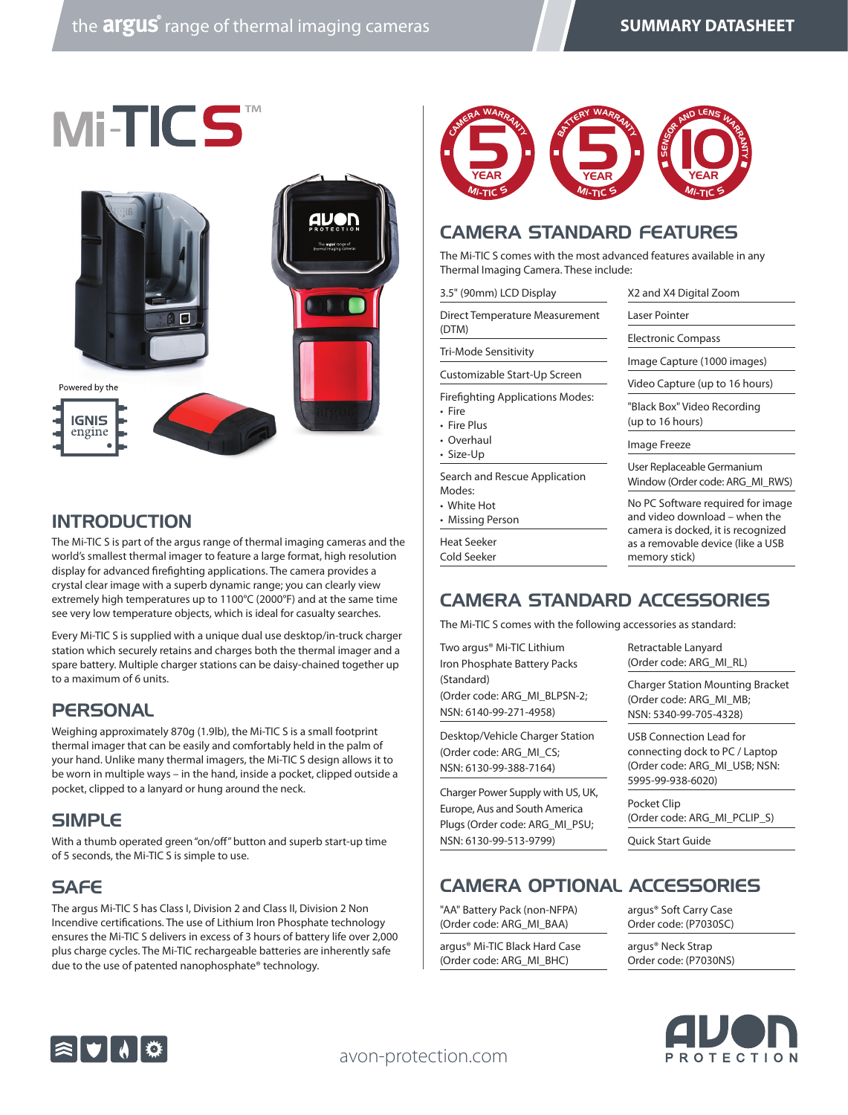

#### **INTRODUCTION**

The Mi-TIC S is part of the argus range of thermal imaging cameras and the world's smallest thermal imager to feature a large format, high resolution display for advanced firefighting applications. The camera provides a crystal clear image with a superb dynamic range; you can clearly view extremely high temperatures up to 1100°C (2000°F) and at the same time see very low temperature objects, which is ideal for casualty searches.

Every Mi-TIC S is supplied with a unique dual use desktop/in-truck charger station which securely retains and charges both the thermal imager and a spare battery. Multiple charger stations can be daisy-chained together up to a maximum of 6 units.

#### **PERSONAL**

Weighing approximately 870g (1.9lb), the Mi-TIC S is a small footprint thermal imager that can be easily and comfortably held in the palm of your hand. Unlike many thermal imagers, the Mi-TIC S design allows it to be worn in multiple ways – in the hand, inside a pocket, clipped outside a pocket, clipped to a lanyard or hung around the neck.

#### SIMPLE

With a thumb operated green "on/off" button and superb start-up time of 5 seconds, the Mi-TIC S is simple to use.

### **SAFE**

The argus Mi-TIC S has Class I, Division 2 and Class II, Division 2 Non Incendive certifications. The use of Lithium Iron Phosphate technology ensures the Mi-TIC S delivers in excess of 3 hours of battery life over 2,000 plus charge cycles. The Mi-TIC rechargeable batteries are inherently safe due to the use of patented nanophosphate® technology.



### CAMERA STANDARD FEATURES

The Mi-TIC S comes with the most advanced features available in any Thermal Imaging Camera. These include:

| 3.5" (90mm) LCD Display                                                                |
|----------------------------------------------------------------------------------------|
| Direct Temperature Measurement<br>(DTM)                                                |
| Tri-Mode Sensitivity                                                                   |
| Customizable Start-Up Screen                                                           |
| <b>Firefighting Applications Modes:</b><br>• Fire<br>$E_{\text{max}}$ $E_{\text{max}}$ |

• Fire Plus

• Overhaul

• Size-Up

Search and Rescue Application Modes:

• White Hot

• Missing Person

Heat Seeker Cold Seeker Window (Order code: ARG\_MI\_RWS) No PC Software required for image and video download – when the camera is docked, it is recognized as a removable device (like a USB memory stick)

User Replaceable Germanium

X2 and X4 Digital Zoom

Image Capture (1000 images) Video Capture (up to 16 hours) "Black Box" Video Recording

Laser Pointer Electronic Compass

(up to 16 hours) Image Freeze

# CAMERA STANDARD ACCESSORIES

The Mi-TIC S comes with the following accessories as standard:

Two argus® Mi-TIC Lithium Iron Phosphate Battery Packs (Standard) (Order code: ARG\_MI\_BLPSN-2; NSN: 6140-99-271-4958)

Desktop/Vehicle Charger Station (Order code: ARG\_MI\_CS; NSN: 6130-99-388-7164)

Charger Power Supply with US, UK, Europe, Aus and South America Plugs (Order code: ARG\_MI\_PSU; NSN: 6130-99-513-9799)

Retractable Lanyard (Order code: ARG\_MI\_RL)

Charger Station Mounting Bracket (Order code: ARG\_MI\_MB; NSN: 5340-99-705-4328)

USB Connection Lead for connecting dock to PC / Laptop (Order code: ARG\_MI\_USB; NSN: 5995-99-938-6020)

Pocket Clip (Order code: ARG\_MI\_PCLIP\_S)

Quick Start Guide

### CAMERA OPTIONAL ACCESSORIES

"AA" Battery Pack (non-NFPA) (Order code: ARG\_MI\_BAA)

argus® Mi-TIC Black Hard Case (Order code: ARG\_MI\_BHC)

argus® Soft Carry Case Order code: (P7030SC)

argus® Neck Strap Order code: (P7030NS)